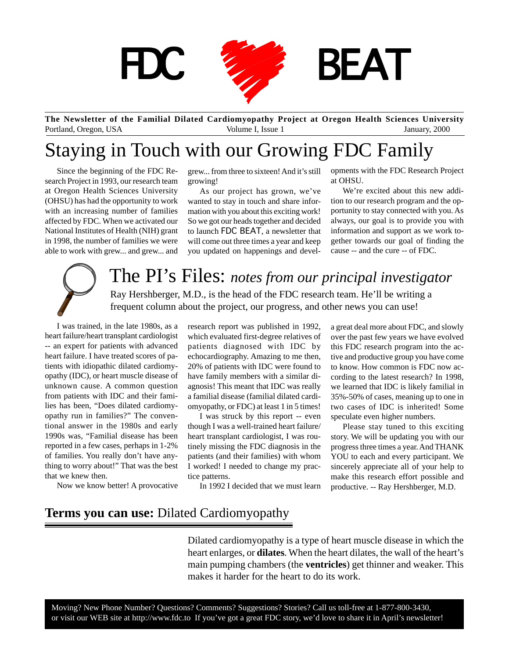

**The Newsletter of the Familial Dilated Cardiomyopathy Project at Oregon Health Sciences University** Portland, Oregon, USA Volume I, Issue 1 January, 2000

## Staying in Touch with our Growing FDC Family

Since the beginning of the FDC Research Project in 1993, our research team at Oregon Health Sciences University (OHSU) has had the opportunity to work with an increasing number of families affected by FDC. When we activated our National Institutes of Health (NIH) grant in 1998, the number of families we were able to work with grew... and grew... and

growing!

As our project has grown, we've wanted to stay in touch and share information with you about this exciting work! So we got our heads together and decided to launch FDC BEAT, a newsletter that will come out three times a year and keep you updated on happenings and devel-

grew... from three to sixteen! And it's still opments with the FDC Research Project at OHSU.

> We're excited about this new addition to our research program and the opportunity to stay connected with you. As always, our goal is to provide you with information and support as we work together towards our goal of finding the cause -- and the cure -- of FDC.



The PI's Files: *notes from our principal investigator*

Ray Hershberger, M.D., is the head of the FDC research team. He'll be writing a frequent column about the project, our progress, and other news you can use!

I was trained, in the late 1980s, as a heart failure/heart transplant cardiologist -- an expert for patients with advanced heart failure. I have treated scores of patients with idiopathic dilated cardiomyopathy (IDC), or heart muscle disease of unknown cause. A common question from patients with IDC and their families has been, "Does dilated cardiomyopathy run in families?" The conventional answer in the 1980s and early 1990s was, "Familial disease has been reported in a few cases, perhaps in 1-2% of families. You really don't have anything to worry about!" That was the best that we knew then.

Now we know better! A provocative

research report was published in 1992, which evaluated first-degree relatives of patients diagnosed with IDC by echocardiography. Amazing to me then, 20% of patients with IDC were found to have family members with a similar diagnosis! This meant that IDC was really a familial disease (familial dilated cardiomyopathy, or FDC) at least 1 in 5 times!

I was struck by this report -- even though I was a well-trained heart failure/ heart transplant cardiologist, I was routinely missing the FDC diagnosis in the patients (and their families) with whom I worked! I needed to change my practice patterns.

In 1992 I decided that we must learn

a great deal more about FDC, and slowly over the past few years we have evolved this FDC research program into the active and productive group you have come to know. How common is FDC now according to the latest research? In 1998, we learned that IDC is likely familial in 35%-50% of cases, meaning up to one in two cases of IDC is inherited! Some speculate even higher numbers.

Please stay tuned to this exciting story. We will be updating you with our progress three times a year. And THANK YOU to each and every participant. We sincerely appreciate all of your help to make this research effort possible and productive. -- Ray Hershberger, M.D.

#### **Terms you can use:** Dilated Cardiomyopathy

Dilated cardiomyopathy is a type of heart muscle disease in which the heart enlarges, or **dilates**. When the heart dilates, the wall of the heart's main pumping chambers (the **ventricles**) get thinner and weaker. This makes it harder for the heart to do its work.

Moving? New Phone Number? Questions? Comments? Suggestions? Stories? Call us toll-free at 1-877-800-3430, or visit our WEB site at http://www.fdc.to If you've got a great FDC story, we'd love to share it in April's newsletter!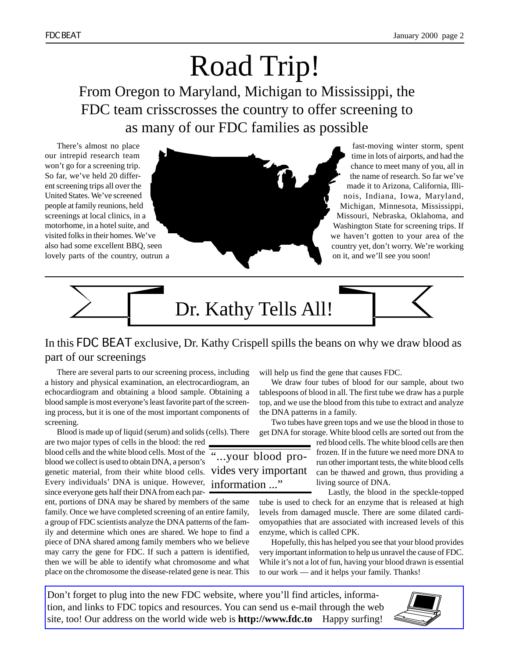# Road Trip! From Oregon to Maryland, Michigan to Mississippi, the FDC team crisscrosses the country to offer screening to as many of our FDC families as possible

There's almost no place our intrepid research team won't go for a screening trip. So far, we've held 20 different screening trips all over the United States. We've screened people at family reunions, held screenings at local clinics, in a motorhome, in a hotel suite, and visited folks in their homes. We've also had some excellent BBQ, seen lovely parts of the country, outrun a



fast-moving winter storm, spent time in lots of airports, and had the chance to meet many of you, all in the name of research. So far we've made it to Arizona, California, Illinois, Indiana, Iowa, Maryland, Michigan, Minnesota, Mississippi, Missouri, Nebraska, Oklahoma, and Washington State for screening trips. If we haven't gotten to your area of the country yet, don't worry. We're working on it, and we'll see you soon!



#### In this FDC BEAT exclusive, Dr. Kathy Crispell spills the beans on why we draw blood as part of our screenings

There are several parts to our screening process, including a history and physical examination, an electrocardiogram, an echocardiogram and obtaining a blood sample. Obtaining a blood sample is most everyone's least favorite part of the screening process, but it is one of the most important components of screening.

Blood is made up of liquid (serum) and solids (cells). There

are two major types of cells in the blood: the red blood cells and the white blood cells. Most of the  $\overline{``... your blood pro-}$ blood we collect is used to obtain DNA, a person's genetic material, from their white blood cells. Vides very important Every individuals' DNA is unique. However, information ..." since everyone gets half their DNA from each par-

ent, portions of DNA may be shared by members of the same family. Once we have completed screening of an entire family, a group of FDC scientists analyze the DNA patterns of the family and determine which ones are shared. We hope to find a piece of DNA shared among family members who we believe may carry the gene for FDC. If such a pattern is identified, then we will be able to identify what chromosome and what place on the chromosome the disease-related gene is near. This

will help us find the gene that causes FDC.

We draw four tubes of blood for our sample, about two tablespoons of blood in all. The first tube we draw has a purple top, and we use the blood from this tube to extract and analyze the DNA patterns in a family.

Two tubes have green tops and we use the blood in those to get DNA for storage. White blood cells are sorted out from the

red blood cells. The white blood cells are then frozen. If in the future we need more DNA to run other important tests, the white blood cells can be thawed and grown, thus providing a living source of DNA.

Lastly, the blood in the speckle-topped

tube is used to check for an enzyme that is released at high levels from damaged muscle. There are some dilated cardiomyopathies that are associated with increased levels of this enzyme, which is called CPK.

Hopefully, this has helped you see that your blood provides very important information to help us unravel the cause of FDC. While it's not a lot of fun, having your blood drawn is essential to our work — and it helps your family. Thanks!

Don't forget to plug into the new FDC website, where you'll find articles, information, and links to FDC topics and resources. You can send us e-mail through the web site, too! Our address on the world wide web is **http://www.fdc.to** Happy surfing!

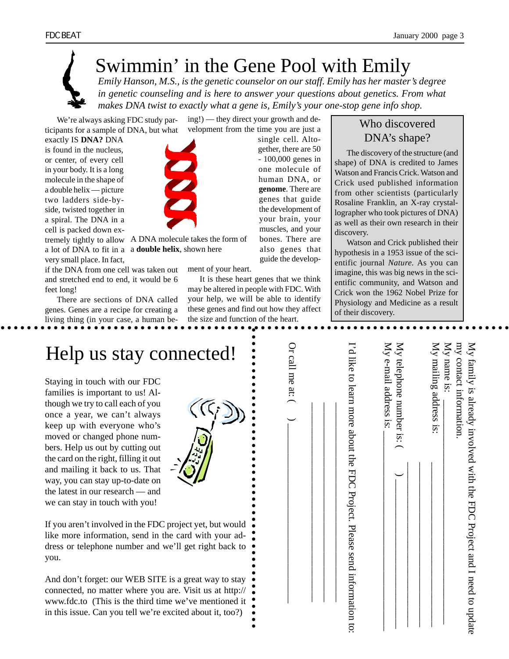*Emily Hanson, M.S., is the genetic counselor on our staff. Emily has her master's degree in genetic counseling and is here to answer your questions about genetics. From what makes DNA twist to exactly what a gene is, Emily's your one-stop gene info shop.*

We're always asking FDC study participants for a sample of DNA, but what ing!) — they direct your growth and development from the time you are just a

exactly IS **DNA?** DNA is found in the nucleus, or center, of every cell in your body. It is a long molecule in the shape of a double helix — picture two ladders side-byside, twisted together in a spiral. The DNA in a cell is packed down ex-

tremely tightly to allow A DNA molecule takes the form of a lot of DNA to fit in a a **double helix**, shown herevery small place. In fact,

if the DNA from one cell was taken out and stretched end to end, it would be 6 feet long!

There are sections of DNA called genes. Genes are a recipe for creating a living thing (in your case, a human be-



single cell. Altogether, there are 50

It is these heart genes that we think may be altered in people with FDC. With your help, we will be able to identify these genes and find out how they affect the size and function of the heart.

- 100,000 genes in one molecule of human DNA, or **genome**. There are genes that guide the development of your brain, your muscles, and your bones. There are also genes that guide the develop-

### Who discovered DNA's shape?

The discovery of the structure (and shape) of DNA is credited to James Watson and Francis Crick. Watson and Crick used published information from other scientists (particularly Rosaline Franklin, an X-ray crystallographer who took pictures of DNA) as well as their own research in their discovery.

Watson and Crick published their hypothesis in a 1953 issue of the scientific journal *Nature.* As you can imagine, this was big news in the scientific community, and Watson and Crick won the 1962 Nobel Prize for Physiology and Medicine as a result of their discovery.



ment of your heart.

| Help us stay connected!                                                                                                                                                                                                                                                                                                                                                                                                                                                                                                                            |                |                                                                            | $\mathbb{X}^{\mathbb{N}}$<br>$\overline{M}$                                                                                                                                 | ЕŅ<br>ХŅ |
|----------------------------------------------------------------------------------------------------------------------------------------------------------------------------------------------------------------------------------------------------------------------------------------------------------------------------------------------------------------------------------------------------------------------------------------------------------------------------------------------------------------------------------------------------|----------------|----------------------------------------------------------------------------|-----------------------------------------------------------------------------------------------------------------------------------------------------------------------------|----------|
| Staying in touch with our FDC<br>families is important to us! Al-<br>though we try to call each of you<br>once a year, we can't always<br>keep up with everyone who's<br>moved or changed phone num-<br>bers. Help us out by cutting out<br>the card on the right, filling it out<br>and mailing it back to us. That<br>way, you can stay up-to-date on<br>the latest in our research — and<br>we can stay in touch with you!<br>If you aren't involved in the FDC project yet, but would<br>like more information, send in the card with your ad- | Or call me at: | I'd like to learn<br>more<br>about the<br><b>FDC</b><br>Project.<br>Please | contact information<br>telephone number is:<br>family is already involved with the FDC Project and I need to update<br>e-mail address is:<br>mailing address<br>name<br>18. |          |
| dress or telephone number and we'll get right back to<br>you.                                                                                                                                                                                                                                                                                                                                                                                                                                                                                      |                |                                                                            |                                                                                                                                                                             |          |
| And don't forget: our WEB SITE is a great way to stay<br>connected, no matter where you are. Visit us at http://<br>www.fdc.to (This is the third time we've mentioned it<br>in this issue. Can you tell we're excited about it, too?)                                                                                                                                                                                                                                                                                                             |                | send information<br>$\overline{5}$                                         |                                                                                                                                                                             |          |